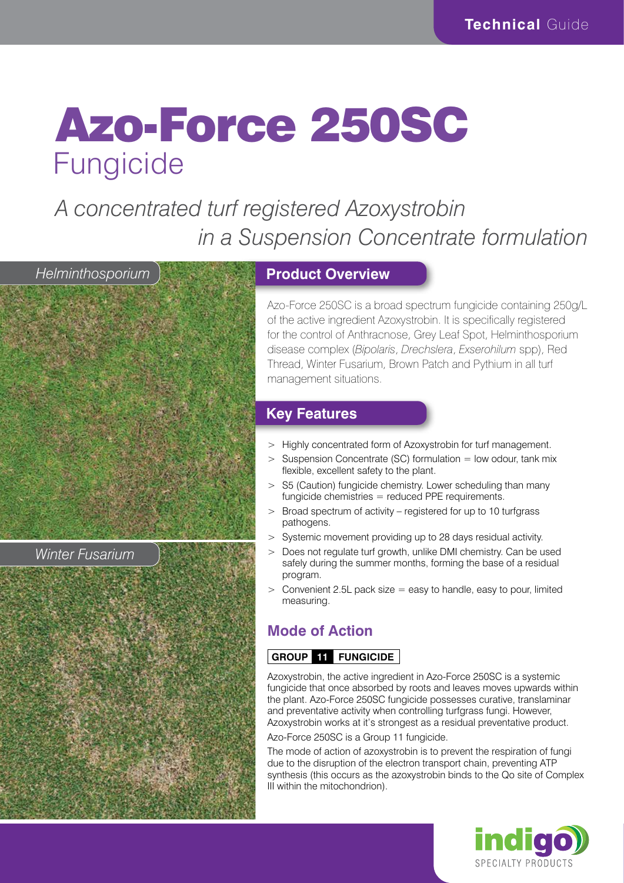# Azo-Force 250SC Fungicide

*A concentrated turf registered Azoxystrobin in a Suspension Concentrate formulation*



*Winter Fusarium*

#### **Product Overview**

Azo-Force 250SC is a broad spectrum fungicide containing 250g/L of the active ingredient Azoxystrobin. It is specifically registered for the control of Anthracnose, Grey Leaf Spot, Helminthosporium disease complex (*Bipolaris*, *Drechslera*, *Exserohilum* spp), Red Thread, Winter Fusarium, Brown Patch and Pythium in all turf management situations.

#### **Key Features**

- > Highly concentrated form of Azoxystrobin for turf management.
- $>$  Suspension Concentrate (SC) formulation  $=$  low odour, tank mix flexible, excellent safety to the plant.
- > S5 (Caution) fungicide chemistry. Lower scheduling than many fungicide chemistries = reduced PPE requirements.
- > Broad spectrum of activity registered for up to 10 turfgrass pathogens.
- > Systemic movement providing up to 28 days residual activity.
- > Does not regulate turf growth, unlike DMI chemistry. Can be used safely during the summer months, forming the base of a residual program.
- $>$  Convenient 2.5L pack size  $=$  easy to handle, easy to pour, limited measuring.

### **Mode of Action**

#### **GROUP 11 FUNGICIDE**

Azoxystrobin, the active ingredient in Azo-Force 250SC is a systemic fungicide that once absorbed by roots and leaves moves upwards within the plant. Azo-Force 250SC fungicide possesses curative, translaminar and preventative activity when controlling turfgrass fungi. However, Azoxystrobin works at it's strongest as a residual preventative product. Azo-Force 250SC is a Group 11 fungicide.

The mode of action of azoxystrobin is to prevent the respiration of fungi due to the disruption of the electron transport chain, preventing ATP synthesis (this occurs as the azoxystrobin binds to the Qo site of Complex III within the mitochondrion).